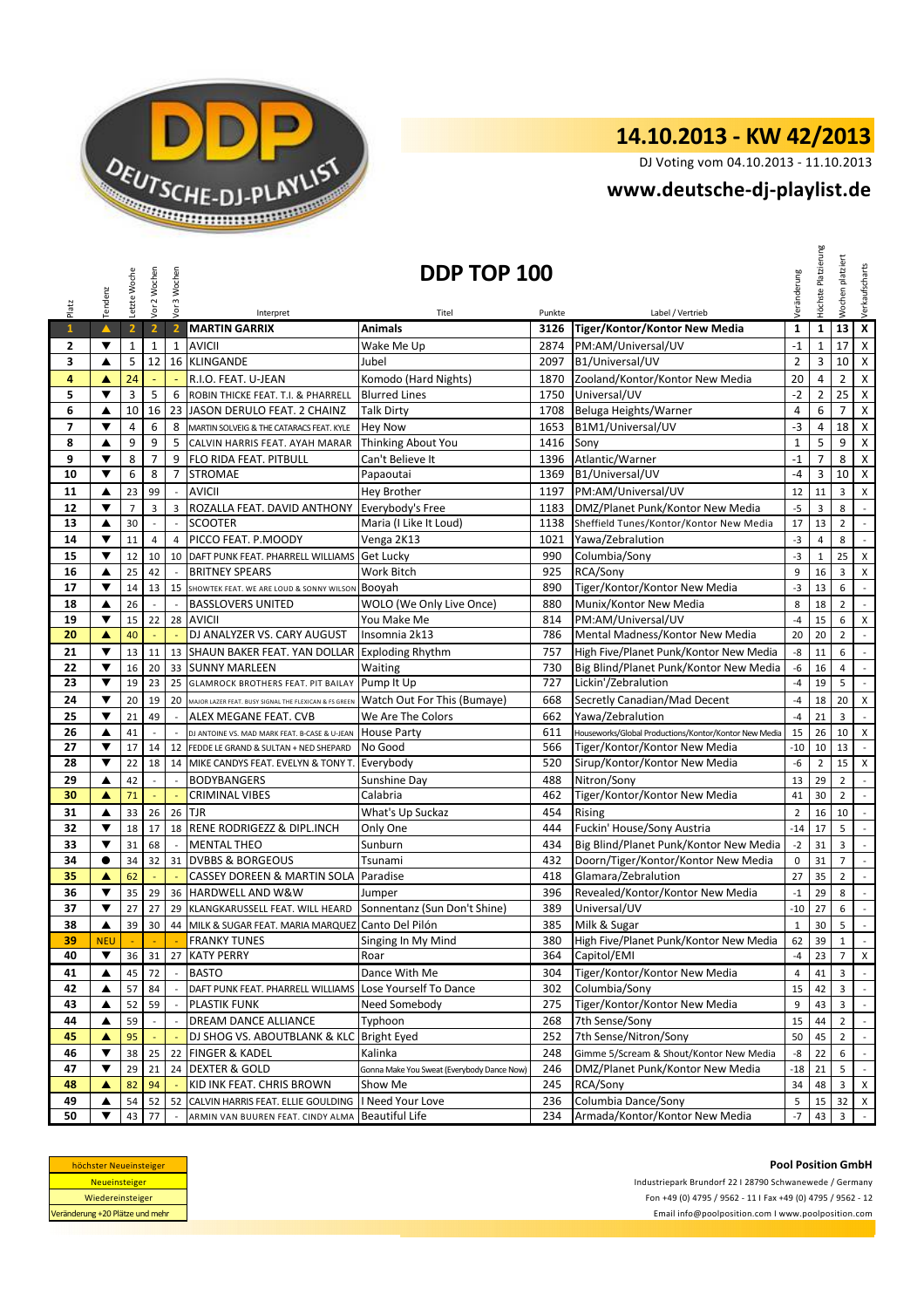

# **14.10.2013 - KW 42/2013**

DJ Voting vom 04.10.2013 - 11.10.2013

## **<www.deutsche-dj-playlist.de>**

| Platz                    | Tendenz              | Letzte Woche   | Vor 2 Wochen   | Vor 3 Wochen             |                                                              | DDP TOP 100                                |        |                                                       | Veränderung    | Höchste Platzierung | platziert<br>Wochen | Verkaufscharts              |
|--------------------------|----------------------|----------------|----------------|--------------------------|--------------------------------------------------------------|--------------------------------------------|--------|-------------------------------------------------------|----------------|---------------------|---------------------|-----------------------------|
|                          | $\blacktriangle$     |                |                |                          | Interpret                                                    | Titel                                      | Punkte | Label / Vertrieb                                      |                |                     |                     | $\overline{\mathbf{x}}$     |
| $\mathbf{1}$             |                      | $\overline{2}$ | $\overline{2}$ | $\overline{2}$           | <b>MARTIN GARRIX</b>                                         | <b>Animals</b>                             | 3126   | Tiger/Kontor/Kontor New Media                         | $\mathbf 1$    | $\mathbf{1}$        | 13                  |                             |
| 2                        | ▼                    | $\mathbf 1$    | $\mathbf{1}$   | $\mathbf{1}$             | <b>AVICII</b>                                                | Wake Me Up                                 | 2874   | PM:AM/Universal/UV                                    | $-1$           | $\mathbf 1$         | 17                  | $\pmb{\mathsf{X}}$          |
| 3                        | ▲                    | 5              | 12             |                          | 16 KLINGANDE                                                 | Jubel                                      | 2097   | B1/Universal/UV                                       | $\overline{2}$ | 3                   | 10                  | $\pmb{\times}$              |
| 4                        | ▲                    | 24             |                |                          | R.I.O. FEAT. U-JEAN                                          | Komodo (Hard Nights)                       | 1870   | Zooland/Kontor/Kontor New Media                       | 20             | 4                   | $\overline{2}$      | $\mathsf X$                 |
| 5                        | ▼                    | 3              | 5              | 6                        | ROBIN THICKE FEAT. T.I. & PHARRELL                           | <b>Blurred Lines</b>                       | 1750   | Universal/UV                                          | $-2$           | $\overline{2}$      | 25                  | $\mathsf X$                 |
| 6                        | ▲                    | 10             | 16             |                          | 23 JASON DERULO FEAT. 2 CHAINZ                               | <b>Talk Dirty</b>                          | 1708   | Beluga Heights/Warner                                 | 4              | 6                   | $\overline{7}$      | $\pmb{\mathsf{X}}$          |
| $\overline{\phantom{a}}$ | ▼                    | $\overline{4}$ | 6              | 8                        | MARTIN SOLVEIG & THE CATARACS FEAT. KYLE                     | <b>Hey Now</b>                             | 1653   | B1M1/Universal/UV                                     | $-3$           | 4                   | 18                  | $\pmb{\times}$              |
| 8                        | ▲                    | 9              | 9              | 5                        | CALVIN HARRIS FEAT. AYAH MARAR                               | Thinking About You                         | 1416   | Sony                                                  | $1\,$          | 5                   | 9                   | $\pmb{\mathsf{X}}$          |
| 9                        | ▼                    | 8              | $\overline{7}$ | 9                        | FLO RIDA FEAT. PITBULL                                       | Can't Believe It                           | 1396   | Atlantic/Warner                                       | $-1$           | $\overline{7}$      | 8                   | $\pmb{\mathsf{X}}$          |
| 10                       | ▼                    | 6              | 8              | $\overline{7}$           | <b>STROMAE</b>                                               | Papaoutai                                  | 1369   | B1/Universal/UV                                       | -4             | 3                   | 10                  | $\mathsf{X}$                |
| 11                       | ▲                    | 23             | 99             | $\mathcal{L}$            | <b>AVICII</b>                                                | Hey Brother                                | 1197   | PM:AM/Universal/UV                                    | 12             | 11                  | 3                   | X                           |
| 12                       | ▼                    | $\overline{7}$ | 3              | 3                        | ROZALLA FEAT. DAVID ANTHONY Everybody's Free                 |                                            | 1183   | DMZ/Planet Punk/Kontor New Media                      | $-5$           | 3                   | 8                   | $\mathbb{L}$                |
| 13                       | ▲                    | 30             | $\overline{a}$ | $\overline{a}$           | <b>SCOOTER</b>                                               | Maria (I Like It Loud)                     | 1138   | Sheffield Tunes/Kontor/Kontor New Media               | 17             | 13                  | $\overline{2}$      | $\mathcal{L}_{\mathcal{A}}$ |
| 14                       | ▼                    | 11             | $\overline{4}$ | $\overline{4}$           | PICCO FEAT. P.MOODY                                          | Venga 2K13                                 | 1021   | Yawa/Zebralution                                      | $-3$           | 4                   | 8                   | $\mathcal{L}$               |
| 15                       | $\blacktriangledown$ | 12             | 10             |                          | 10 DAFT PUNK FEAT. PHARRELL WILLIAMS Get Lucky               |                                            | 990    | Columbia/Sony                                         | $-3$           | $1\,$               | 25                  | $\pmb{\mathsf{X}}$          |
| 16                       | ▲                    | 25             | 42             | $\mathbb{Z}$             | <b>BRITNEY SPEARS</b>                                        | Work Bitch                                 | 925    | RCA/Sony                                              | 9              | 16                  | $\overline{3}$      | $\pmb{\mathsf{X}}$          |
| 17                       | ▼                    | 14             | 13             | 15                       | SHOWTEK FEAT. WE ARE LOUD & SONNY WILSON                     | Booyah                                     | 890    | Tiger/Kontor/Kontor New Media                         | $-3$           | 13                  | 6                   | $\mathcal{L}$               |
| 18                       | ▲                    | 26             | $\sim$         | $\mathcal{L}$            | <b>BASSLOVERS UNITED</b>                                     | WOLO (We Only Live Once)                   | 880    | Munix/Kontor New Media                                | 8              | 18                  | $\overline{2}$      | $\mathbb{Z}$                |
| 19                       | ▼                    | 15             | 22             |                          | 28 AVICII                                                    | You Make Me                                | 814    | PM:AM/Universal/UV                                    | $-4$           | 15                  | 6                   | $\pmb{\mathsf{X}}$          |
| 20                       | A                    | 40             |                |                          | DJ ANALYZER VS. CARY AUGUST                                  | Insomnia 2k13                              | 786    | Mental Madness/Kontor New Media                       | 20             | 20                  | $\overline{2}$      | $\mathbb{R}^2$              |
| 21                       | ▼                    | 13             | 11             |                          | 13 SHAUN BAKER FEAT. YAN DOLLAR Exploding Rhythm             |                                            | 757    | High Five/Planet Punk/Kontor New Media                | -8             | 11                  | 6                   | $\mathcal{L}$               |
| 22                       | ▼                    | 16             | 20             | 33                       | <b>SUNNY MARLEEN</b>                                         | Waiting                                    | 730    | Big Blind/Planet Punk/Kontor New Media                | -6             | 16                  | $\overline{4}$      | $\mathcal{L}$               |
| 23                       | ▼                    | 19             | 23             | 25                       | <b>GLAMROCK BROTHERS FEAT. PIT BAILAY</b>                    | Pump It Up                                 | 727    | Lickin'/Zebralution                                   | $-4$           | 19                  | 5                   | $\mathbb{Z}^2$              |
| 24                       | ▼                    | 20             | 19             | 20                       | MAJOR LAZER FEAT. BUSY SIGNAL THE FLEXICAN & FS GREEN        | Watch Out For This (Bumaye)                | 668    | Secretly Canadian/Mad Decent                          | $-4$           | 18                  | 20                  | $\pmb{\mathsf{X}}$          |
| 25                       | ▼                    | 21             | 49             | $\sim$                   | ALEX MEGANE FEAT. CVB                                        | We Are The Colors                          | 662    | Yawa/Zebralution                                      | -4             | 21                  | 3                   | $\mathcal{L}_{\mathcal{A}}$ |
| 26                       | ▲                    | 41             |                |                          | DJ ANTOINE VS. MAD MARK FEAT. B-CASE & U-JEAN                | <b>House Party</b>                         | 611    | Houseworks/Global Productions/Kontor/Kontor New Media | 15             | 26                  | 10                  | $\pmb{\mathsf{X}}$          |
| 27                       | ▼                    | 17             | 14             | 12                       | FEDDE LE GRAND & SULTAN + NED SHEPARD                        | No Good                                    | 566    | Tiger/Kontor/Kontor New Media                         | $-10$          | 10                  | 13                  | $\mathcal{L}$               |
| 28                       | ▼                    | 22             | 18             |                          | 14 MIKE CANDYS FEAT. EVELYN & TONY T.                        | Everybody                                  | 520    | Sirup/Kontor/Kontor New Media                         | -6             | $\overline{2}$      | 15                  | X                           |
| 29                       | ▲                    | 42             | $\overline{a}$ | $\overline{\phantom{a}}$ | <b>BODYBANGERS</b>                                           | Sunshine Day                               | 488    | Nitron/Sony                                           | 13             | 29                  | $\overline{2}$      | $\mathcal{L}$               |
| 30                       | A                    | 71             | ÷              | $\omega$                 | <b>CRIMINAL VIBES</b>                                        | Calabria                                   | 462    | Tiger/Kontor/Kontor New Media                         | 41             | 30                  | $\overline{2}$      | $\mathbb{Z}^{\mathbb{Z}}$   |
| 31                       | ▲                    | 33             | 26             | 26                       | <b>TJR</b>                                                   | What's Up Suckaz                           | 454    | Rising                                                | $\overline{2}$ | 16                  | 10                  | $\mathcal{L}_{\mathcal{A}}$ |
| 32                       | ▼                    | 18             | 17             | 18                       | <b>RENE RODRIGEZZ &amp; DIPL.INCH</b>                        | Only One                                   | 444    | Fuckin' House/Sony Austria                            | $-14$          | 17                  | 5                   | $\mathbb{R}^2$              |
| 33                       | $\blacktriangledown$ | 31             | 68             | $\mathbb{Z}$             | <b>MENTAL THEO</b>                                           | Sunburn                                    | 434    | Big Blind/Planet Punk/Kontor New Media                | $-2$           | 31                  | 3                   | $\mathbb{Z}^2$              |
| 34                       | $\bullet$            | 34             | 32             | 31                       | <b>DVBBS &amp; BORGEOUS</b>                                  | Tsunami                                    | 432    | Doorn/Tiger/Kontor/Kontor New Media                   | $\mathbf 0$    | 31                  | $\overline{7}$      | $\overline{\phantom{a}}$    |
| 35                       | ▲                    | 62             |                |                          | <b>CASSEY DOREEN &amp; MARTIN SOLA Paradise</b>              |                                            | 418    | Glamara/Zebralution                                   | 27             | 35                  | $\overline{2}$      | $\mathbb{R}^2$              |
| 36                       | ▼                    | 35             | 29             |                          | 36 HARDWELL AND W&W                                          | Jumper                                     | 396    | Revealed/Kontor/Kontor New Media                      | $-1$           | 29                  | 8                   | $\mathbb{L}$                |
| 37                       | ▼                    | 27             | 27             | 29                       | KLANGKARUSSELL FEAT. WILL HEARD Sonnentanz (Sun Don't Shine) |                                            | 389    | Universal/UV                                          | $-10$          | 27                  | 6                   | $\mathbb{Z}^2$              |
| 38                       | ▲                    | 39             | 30             | 44                       | MILK & SUGAR FEAT. MARIA MARQUEZ Canto Del Pilón             |                                            | 385    | Milk & Sugar                                          | $\mathbf{1}$   | 30                  | 5                   | $\sim$                      |
| 39                       | <b>NEU</b>           |                |                |                          | <b>FRANKY TUNES</b>                                          | Singing In My Mind                         | 380    | High Five/Planet Punk/Kontor New Media                | 62             | 39                  | $\mathbf{1}$        | $\mathcal{L}_{\mathcal{A}}$ |
| 40                       | ▼                    | 36             | 31             | 27                       | <b>KATY PERRY</b>                                            | Roar                                       | 364    | Capitol/EMI                                           | -4             | 23                  | $\overline{7}$      | $\mathsf X$                 |
| 41                       | ▲                    | 45             | 72             |                          | <b>BASTO</b>                                                 | Dance With Me                              | 304    | Tiger/Kontor/Kontor New Media                         | $\overline{4}$ | 41                  | 3                   | $\mathbf{r}$                |
| 42                       | ▲                    | 57             | 84             |                          | DAFT PUNK FEAT. PHARRELL WILLIAMS                            | Lose Yourself To Dance                     | 302    | Columbia/Sony                                         | 15             | 42                  | 3                   | $\sim$                      |
| 43                       | ▲                    | 52             | 59             |                          | <b>PLASTIK FUNK</b>                                          | Need Somebody                              | 275    | Tiger/Kontor/Kontor New Media                         | 9              | 43                  | 3                   | $\mathbb{Z}^2$              |
| 44                       | ▲                    | 59             |                |                          | DREAM DANCE ALLIANCE                                         | Typhoon                                    | 268    | 7th Sense/Sony                                        | 15             | 44                  | $\overline{2}$      |                             |
| 45                       | ▲                    | 95             |                |                          | DJ SHOG VS. ABOUTBLANK & KLC   Bright Eyed                   |                                            | 252    | 7th Sense/Nitron/Sony                                 | 50             | 45                  | $\overline{2}$      | $\mathbb{R}^{\mathbb{Z}}$   |
| 46                       | ▼                    | 38             | 25             | 22                       | <b>FINGER &amp; KADEL</b>                                    | Kalinka                                    | 248    | Gimme 5/Scream & Shout/Kontor New Media               | -8             | 22                  | 6                   | $\sim$                      |
| 47                       | $\blacktriangledown$ | 29             | 21             | 24                       | <b>DEXTER &amp; GOLD</b>                                     | Gonna Make You Sweat (Everybody Dance Now) | 246    | DMZ/Planet Punk/Kontor New Media                      | $-18$          | 21                  | 5                   |                             |
| 48                       | ▲                    | 82             | 94             |                          | KID INK FEAT. CHRIS BROWN                                    | Show Me                                    | 245    | RCA/Sony                                              | 34             | 48                  | 3                   | $\mathsf{X}$                |
| 49                       | ▲                    | 54             | 52             | 52                       | CALVIN HARRIS FEAT. ELLIE GOULDING                           | I Need Your Love                           | 236    | Columbia Dance/Sony                                   | 5              | 15                  | 32                  | $\mathsf{X}$                |
| 50                       | ▼                    | 43             | 77             | $\overline{\phantom{a}}$ | ARMIN VAN BUUREN FEAT. CINDY ALMA                            | <b>Beautiful Life</b>                      | 234    | Armada/Kontor/Kontor New Media                        | $-7$           | 43                  | 3                   | $\sim$                      |

| höchster Neueinsteiger          |
|---------------------------------|
| <b>Neueinsteiger</b>            |
| Wiedereinsteiger                |
| Veränderung +20 Plätze und mehr |

Industriepark Brundorf 22 I 28790 Schwanewede / Germany Fon +49 (0) 4795 / 9562 - 11 I Fax +49 (0) 4795 / 9562 - 12 <Email info@poolposition.com I www.poolposition.com>

#### **Pool Position GmbH**